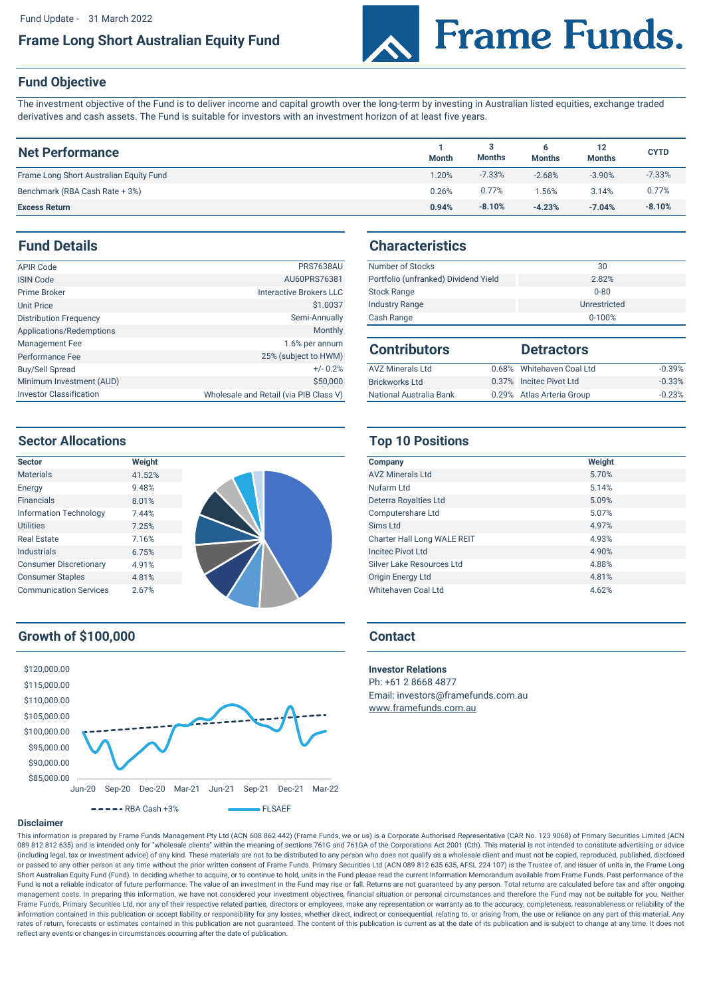## **Frame Long Short Australian Equity Fund**



# **Fund Objective**

The investment objective of the Fund is to deliver income and capital growth over the long-term by investing in Australian listed equities, exchange traded derivatives and cash assets. The Fund is suitable for investors with an investment horizon of at least five years.

| <b>Net Performance</b>                  | <b>Month</b> | <b>Months</b> | <b>Months</b> | 12<br><b>Months</b> | <b>CYTD</b> |
|-----------------------------------------|--------------|---------------|---------------|---------------------|-------------|
| Frame Long Short Australian Equity Fund | 1.20%        | $-7.33%$      | $-2.68%$      | $-3.90%$            | $-7.33%$    |
| Benchmark (RBA Cash Rate + 3%)          | 0.26%        | 0.77%         | $1.56\%$      | 3.14%               | 0.77%       |
| <b>Excess Return</b>                    | 0.94%        | $-8.10%$      | $-4.23%$      | $-7.04%$            | $-8.10%$    |

#### **Fund Details**

| <b>APIR Code</b>               | <b>PRS7638AU</b>                       | Number of Stocks         |
|--------------------------------|----------------------------------------|--------------------------|
| <b>ISIN Code</b>               | AU60PRS76381                           | Portfolio (unfranked) Di |
| Prime Broker                   | Interactive Brokers LLC                | <b>Stock Range</b>       |
| <b>Unit Price</b>              | \$1.0037                               | <b>Industry Range</b>    |
| <b>Distribution Frequency</b>  | Semi-Annually                          | Cash Range               |
| Applications/Redemptions       | <b>Monthly</b>                         |                          |
| Management Fee                 | 1.6% per annum                         | <b>Contributors</b>      |
| Performance Fee                | 25% (subject to HWM)                   |                          |
| Buy/Sell Spread                | $+/- 0.2%$                             | <b>AVZ Minerals Ltd</b>  |
| Minimum Investment (AUD)       | \$50,000                               | <b>Brickworks Ltd</b>    |
| <b>Investor Classification</b> | Wholesale and Retail (via PIB Class V) | National Australia Bank  |

#### **Characteristics**

| <b>PRS7638AU</b> | Number of Stocks                     | 30           |
|------------------|--------------------------------------|--------------|
| AU60PRS76381     | Portfolio (unfranked) Dividend Yield | 2.82%        |
| tive Brokers LLC | <b>Stock Range</b>                   | $0 - 80$     |
| \$1,0037         | <b>Industry Range</b>                | Unrestricted |
| Semi-Annually    | Cash Range                           | $0 - 100%$   |

| <b>Contributors</b>     | <b>Detractors</b>         |          |
|-------------------------|---------------------------|----------|
| <b>AVZ Minerals Ltd</b> | 0.68% Whitehaven Coal Ltd | $-0.39%$ |
| <b>Brickworks Ltd</b>   | 0.37% Incited Pivot Ltd   | $-0.33%$ |
| National Australia Bank | 0.29% Atlas Arteria Group | $-0.23%$ |

#### **Sector Allocations**

| <b>Sector</b>                 | Weight |  |
|-------------------------------|--------|--|
| <b>Materials</b>              | 41.52% |  |
| Energy                        | 9.48%  |  |
| <b>Financials</b>             | 8.01%  |  |
| <b>Information Technology</b> | 7.44%  |  |
| <b>Utilities</b>              | 7.25%  |  |
| <b>Real Estate</b>            | 7.16%  |  |
| Industrials                   | 6.75%  |  |
| <b>Consumer Discretionary</b> | 4.91%  |  |
| <b>Consumer Staples</b>       | 4.81%  |  |
| <b>Communication Services</b> | 2.67%  |  |

# **Growth of \$100,000 Contact**



### **Top 10 Positions**

| Company                     | Weight |
|-----------------------------|--------|
| <b>AV7 Minerals I td</b>    | 5.70%  |
| Nufarm Ltd                  | 5.14%  |
| Deterra Royalties Ltd       | 5.09%  |
| Computershare Ltd           | 5.07%  |
| Sims Ltd                    | 4.97%  |
| Charter Hall Long WALE REIT | 4.93%  |
| <b>Incited Pivot Ltd</b>    | 4.90%  |
| Silver Lake Resources Ltd   | 4.88%  |
| <b>Origin Energy Ltd</b>    | 4.81%  |
| Whitehaven Coal Ltd         | 4.62%  |

**Investor Relations**

Ph: +61 2 8668 4877 Email: investors@framefunds.com.au [www.frame](http://www.framefunds.com.au/)funds.com.au

#### **Disclaimer**

This information is prepared by Frame Funds Management Pty Ltd (ACN 608 862 442) (Frame Funds, we or us) is a Corporate Authorised Representative (CAR No. 123 9068) of Primary Securities Limited (ACN 089 812 812 635) and is intended only for "wholesale clients" within the meaning of sections 761G and 761GA of the Corporations Act 2001 (Cth). This material is not intended to constitute advertising or advice (including legal, tax or investment advice) of any kind. These materials are not to be distributed to any person who does not qualify as a wholesale client and must not be copied, reproduced, published, disclosed or passed to any other person at any time without the prior written consent of Frame Funds. Primary Securities Ltd (ACN 089 812 635 635, AFSL 224 107) is the Trustee of, and issuer of units in, the Frame Long Short Australian Equity Fund (Fund). In deciding whether to acquire, or to continue to hold, units in the Fund please read the current Information Memorandum available from Frame Funds. Past performance of the Fund is not a reliable indicator of future performance. The value of an investment in the Fund may rise or fall. Returns are not guaranteed by any person. Total returns are calculated before tax and after ongoing management costs. In preparing this information, we have not considered your investment objectives, financial situation or personal circumstances and therefore the Fund may not be suitable for you. Neither Frame Funds, Primary Securities Ltd, nor any of their respective related parties, directors or employees, make any representation or warranty as to the accuracy, completeness, reasonableness or reliability of the information contained in this publication or accept liability or responsibility for any losses, whether direct, indirect or consequential, relating to, or arising from, the use or reliance on any part of this material. Any rates of return, forecasts or estimates contained in this publication are not guaranteed. The content of this publication is current as at the date of its publication and is subject to change at any time. It does not reflect any events or changes in circumstances occurring after the date of publication.